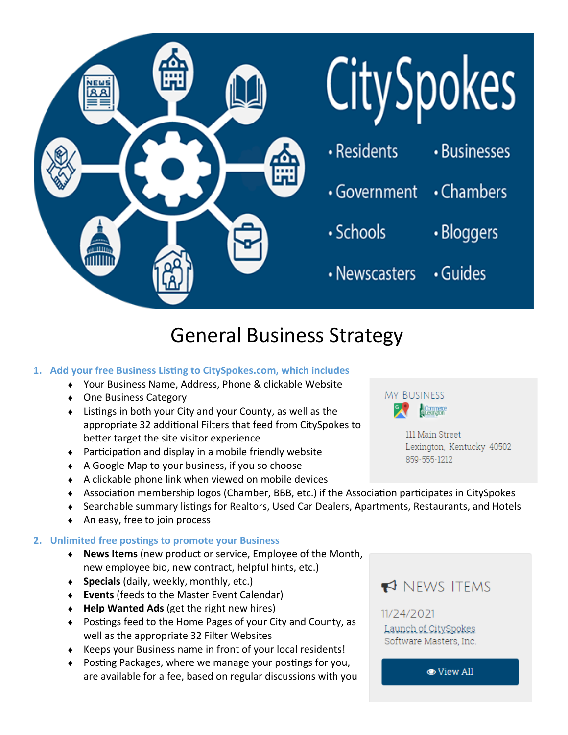

# General Business Strategy

#### **1. Add your free Business Listing to CitySpokes.com, which includes**

- Your Business Name, Address, Phone & clickable Website
- ◆ One Business Category
- Listings in both your City and your County, as well as the appropriate 32 additional Filters that feed from CitySpokes to better target the site visitor experience
- Participation and display in a mobile friendly website
- A Google Map to your business, if you so choose
- A clickable phone link when viewed on mobile devices
- Association membership logos (Chamber, BBB, etc.) if the Association participates in CitySpokes
- Searchable summary listings for Realtors, Used Car Dealers, Apartments, Restaurants, and Hotels
- ◆ An easy, free to join process

#### **2. Unlimited free postings to promote your Business**

- **News Items** (new product or service, Employee of the Month, new employee bio, new contract, helpful hints, etc.)
- **Specials** (daily, weekly, monthly, etc.)
- **Events** (feeds to the Master Event Calendar)
- **Help Wanted Ads** (get the right new hires)
- Postings feed to the Home Pages of your City and County, as well as the appropriate 32 Filter Websites
- Keeps your Business name in front of your local residents!
- Posting Packages, where we manage your postings for you, are available for a fee, based on regular discussions with you



111 Main Street Lexington, Kentucky 40502 859-555-1212

# NEWS ITEMS

## 11/24/2021 Launch of CitySpokes Software Masters, Inc.